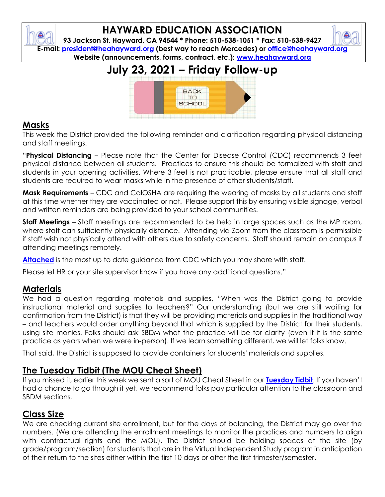## **HAYWARD EDUCATION ASSOCIATION**

**93 Jackson St. Hayward, CA 94544 \* Phone: 510-538-1051 \* Fax: 510-538-9427 E-mail: [president@heahayward.org](mailto:president@heahayward.org) (best way to reach Mercedes) or [office@heahayward.org](mailto:office@heahayward.org) Website (announcements, forms, contract, etc.): [www.heahayward.org](http://www.heahayward.org/)**

## **July 23, 2021 – Friday Follow-up**



#### **Masks**

This week the District provided the following reminder and clarification regarding physical distancing and staff meetings.

"**Physical Distancing** – Please note that the Center for Disease Control (CDC) recommends 3 feet physical distance between all students. Practices to ensure this should be formalized with staff and students in your opening activities. Where 3 feet is not practicable, please ensure that all staff and students are required to wear masks while in the presence of other students/staff.

**Mask Requirements** – CDC and CalOSHA are requiring the wearing of masks by all students and staff at this time whether they are vaccinated or not. Please support this by ensuring visible signage, verbal and written reminders are being provided to your school communities.

**Staff Meetings** – Staff meetings are recommended to be held in large spaces such as the MP room, where staff can sufficiently physically distance. Attending via Zoom from the classroom is permissible if staff wish not physically attend with others due to safety concerns. Staff should remain on campus if attending meetings remotely.

**[Attached](https://drive.google.com/file/d/1SGvNgxGBvoRtSwUwVVRkfedtHF7p2wDR/view?usp=sharing)** is the most up to date guidance from CDC which you may share with staff.

Please let HR or your site supervisor know if you have any additional questions."

#### **Materials**

We had a question regarding materials and supplies, "When was the District going to provide instructional material and supplies to teachers?" Our understanding (but we are still waiting for confirmation from the District) is that they will be providing materials and supplies in the traditional way – and teachers would order anything beyond that which is supplied by the District for their students, using site monies. Folks should ask SBDM what the practice will be for clarity (even if it is the same practice as years when we were in-person). If we learn something different, we will let folks know.

That said, the District is supposed to provide containers for students' materials and supplies.

#### **The Tuesday Tidbit (The MOU Cheat Sheet)**

If you missed it, earlier this week we sent a sort of MOU Cheat Sheet in our **[Tuesday Tidbit](https://drive.google.com/file/d/1c7HJyW_SeQY-2QvKhLMsCciMU1uJoObw/view?usp=sharing)**. If you haven't had a chance to go through it yet, we recommend folks pay particular attention to the classroom and SBDM sections.

#### **Class Size**

We are checking current site enrollment, but for the days of balancing, the District may go over the numbers. (We are attending the enrollment meetings to monitor the practices and numbers to align with contractual rights and the MOU). The District should be holding spaces at the site (by grade/program/section) for students that are in the Virtual Independent Study program in anticipation of their return to the sites either within the first 10 days or after the first trimester/semester.